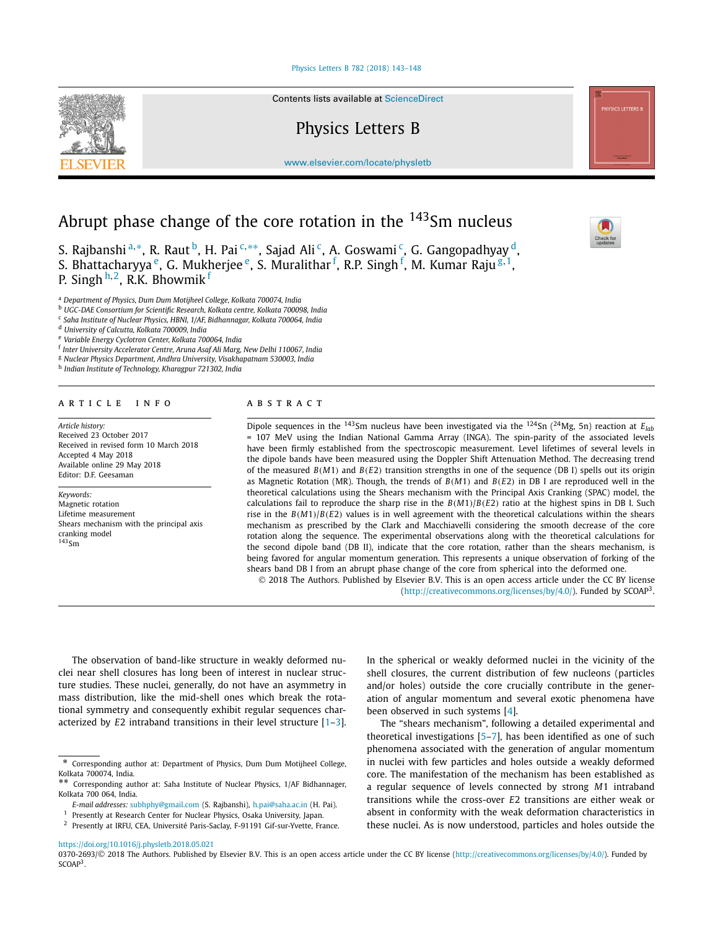### [Physics Letters B 782 \(2018\) 143–148](https://doi.org/10.1016/j.physletb.2018.05.021)



Contents lists available at [ScienceDirect](http://www.ScienceDirect.com/)

Physics Letters B

[www.elsevier.com/locate/physletb](http://www.elsevier.com/locate/physletb)

# Abrupt phase change of the core rotation in the  $143$ Sm nucleus

S. Rajbanshi<sup>a,∗</sup>, R. Raut <sup>b</sup>, H. Pai<sup>c,∗∗</sup>, Sajad Ali<sup>c</sup>, A. Goswami<sup>c</sup>, G. Gangopadhyay <sup>d</sup>, S. Bhattacharyya <sup>e</sup>, G. Mukherjee <sup>e</sup>, S. Muralithar <sup>f</sup>, R.P. Singh <sup>f</sup>, M. Kumar Raju <sup>g, 1</sup>, P. Singh <sup>h</sup>*,*2, R.K. Bhowmik <sup>f</sup>



<sup>b</sup> *UGC-DAE Consortium for Scientific Research, Kolkata centre, Kolkata 700098, India*

<sup>c</sup> *Saha Institute of Nuclear Physics, HBNI, 1/AF, Bidhannagar, Kolkata 700064, India*

<sup>d</sup> *University of Calcutta, Kolkata 700009, India*

<sup>e</sup> *Variable Energy Cyclotron Center, Kolkata 700064, India*

<sup>f</sup> *Inter University Accelerator Centre, Aruna Asaf Ali Marg, New Delhi 110067, India*

<sup>g</sup> *Nuclear Physics Department, Andhra University, Visakhapatnam 530003, India*

<sup>h</sup> *Indian Institute of Technology, Kharagpur 721302, India*

### A R T I C L E I N F O A B S T R A C T

*Article history:* Received 23 October 2017 Received in revised form 10 March 2018 Accepted 4 May 2018 Available online 29 May 2018 Editor: D.F. Geesaman

### *Keywords:*

Magnetic rotation Lifetime measurement Shears mechanism with the principal axis cranking model  $143$ Sm

Dipole sequences in the <sup>143</sup>Sm nucleus have been investigated via the <sup>124</sup>Sn (<sup>24</sup>Mg, 5n) reaction at *E*<sub>lab</sub> = 107 MeV using the Indian National Gamma Array (INGA). The spin-parity of the associated levels have been firmly established from the spectroscopic measurement. Level lifetimes of several levels in the dipole bands have been measured using the Doppler Shift Attenuation Method. The decreasing trend of the measured  $B(M1)$  and  $B(E2)$  transition strengths in one of the sequence (DB I) spells out its origin as Magnetic Rotation (MR). Though, the trends of *B(M*1*)* and *B(E*2*)* in DB I are reproduced well in the theoretical calculations using the Shears mechanism with the Principal Axis Cranking (SPAC) model, the calculations fail to reproduce the sharp rise in the  $B(M1)/B(E2)$  ratio at the highest spins in DB I. Such rise in the *B(M*1*)*/*B(E*2*)* values is in well agreement with the theoretical calculations within the shears mechanism as prescribed by the Clark and Macchiavelli considering the smooth decrease of the core rotation along the sequence. The experimental observations along with the theoretical calculations for the second dipole band (DB II), indicate that the core rotation, rather than the shears mechanism, is being favored for angular momentum generation. This represents a unique observation of forking of the shears band DB I from an abrupt phase change of the core from spherical into the deformed one. © 2018 The Authors. Published by Elsevier B.V. This is an open access article under the CC BY license

[\(http://creativecommons.org/licenses/by/4.0/\)](http://creativecommons.org/licenses/by/4.0/). Funded by SCOAP3.

The observation of band-like structure in weakly deformed nuclei near shell closures has long been of interest in nuclear structure studies. These nuclei, generally, do not have an asymmetry in mass distribution, like the mid-shell ones which break the rotational symmetry and consequently exhibit regular sequences characterized by *E*2 intraband transitions in their level structure [\[1–3\]](#page-5-0). In the spherical or weakly deformed nuclei in the vicinity of the shell closures, the current distribution of few nucleons (particles and/or holes) outside the core crucially contribute in the generation of angular momentum and several exotic phenomena have been observed in such systems [\[4\]](#page-5-0).

The "shears mechanism", following a detailed experimental and theoretical investigations [\[5–7\]](#page-5-0), has been identified as one of such phenomena associated with the generation of angular momentum in nuclei with few particles and holes outside a weakly deformed core. The manifestation of the mechanism has been established as a regular sequence of levels connected by strong *M*1 intraband transitions while the cross-over *E*2 transitions are either weak or absent in conformity with the weak deformation characteristics in these nuclei. As is now understood, particles and holes outside the

<https://doi.org/10.1016/j.physletb.2018.05.021>

<sup>\*</sup> Corresponding author at: Department of Physics, Dum Dum Motijheel College, Kolkata 700074, India.

<sup>\*\*</sup> Corresponding author at: Saha Institute of Nuclear Physics, 1/AF Bidhannager, Kolkata 700 064, India.

*E-mail addresses:* [subhphy@gmail.com](mailto:subhphy@gmail.com) (S. Rajbanshi), [h.pai@saha.ac.in](mailto:h.pai@saha.ac.in) (H. Pai).

<sup>&</sup>lt;sup>1</sup> Presently at Research Center for Nuclear Physics, Osaka University, Japan.

<sup>&</sup>lt;sup>2</sup> Presently at IRFU, CEA, Université Paris-Saclay, F-91191 Gif-sur-Yvette, France.

<sup>0370-2693/© 2018</sup> The Authors. Published by Elsevier B.V. This is an open access article under the CC BY license [\(http://creativecommons.org/licenses/by/4.0/\)](http://creativecommons.org/licenses/by/4.0/). Funded by SCOAP<sup>3</sup>.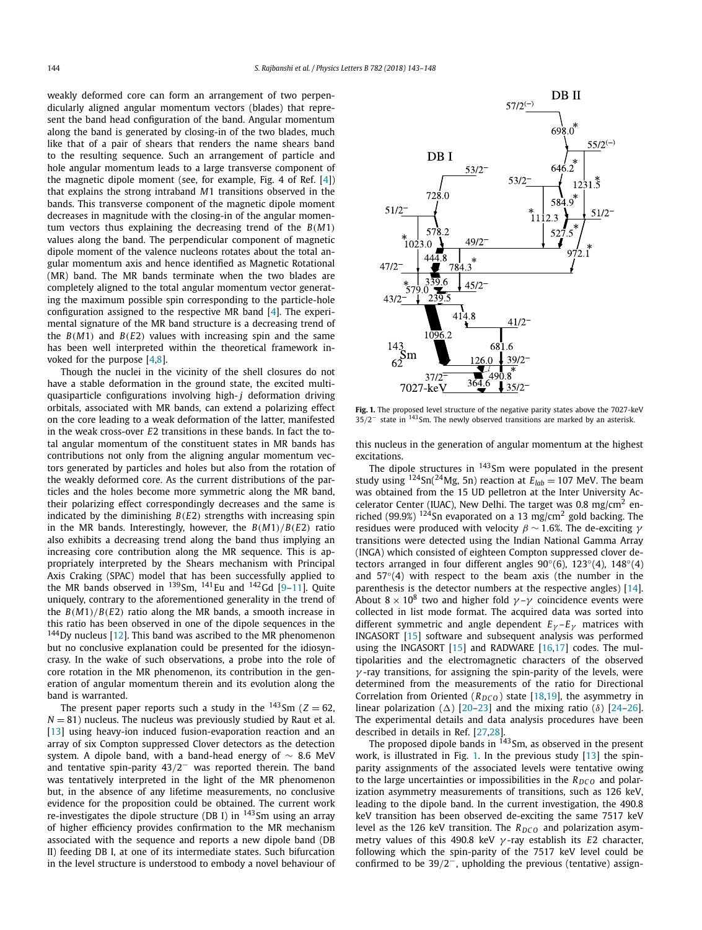<span id="page-1-0"></span>weakly deformed core can form an arrangement of two perpendicularly aligned angular momentum vectors (blades) that represent the band head configuration of the band. Angular momentum along the band is generated by closing-in of the two blades, much like that of a pair of shears that renders the name shears band to the resulting sequence. Such an arrangement of particle and hole angular momentum leads to a large transverse component of the magnetic dipole moment (see, for example, Fig. 4 of Ref. [\[4\]](#page-5-0)) that explains the strong intraband *M*1 transitions observed in the bands. This transverse component of the magnetic dipole moment decreases in magnitude with the closing-in of the angular momentum vectors thus explaining the decreasing trend of the *B(M*1*)* values along the band. The perpendicular component of magnetic dipole moment of the valence nucleons rotates about the total angular momentum axis and hence identified as Magnetic Rotational (MR) band. The MR bands terminate when the two blades are completely aligned to the total angular momentum vector generating the maximum possible spin corresponding to the particle-hole configuration assigned to the respective MR band [\[4\]](#page-5-0). The experimental signature of the MR band structure is a decreasing trend of the  $B(M1)$  and  $B(E2)$  values with increasing spin and the same has been well interpreted within the theoretical framework invoked for the purpose [\[4,8\]](#page-5-0).

Though the nuclei in the vicinity of the shell closures do not have a stable deformation in the ground state, the excited multiquasiparticle configurations involving high-j deformation driving orbitals, associated with MR bands, can extend a polarizing effect on the core leading to a weak deformation of the latter, manifested in the weak cross-over *E*2 transitions in these bands. In fact the total angular momentum of the constituent states in MR bands has contributions not only from the aligning angular momentum vectors generated by particles and holes but also from the rotation of the weakly deformed core. As the current distributions of the particles and the holes become more symmetric along the MR band, their polarizing effect correspondingly decreases and the same is indicated by the diminishing *B(E*2*)* strengths with increasing spin in the MR bands. Interestingly, however, the *B(M*1*)/B(E*2*)* ratio also exhibits a decreasing trend along the band thus implying an increasing core contribution along the MR sequence. This is appropriately interpreted by the Shears mechanism with Principal Axis Craking (SPAC) model that has been successfully applied to the MR bands observed in  $^{139}$ Sm,  $^{141}$ Eu and  $^{142}$ Gd [9-11]. Quite uniquely, contrary to the aforementioned generality in the trend of the  $B(M1)/B(E2)$  ratio along the MR bands, a smooth increase in this ratio has been observed in one of the dipole sequences in the  $144$ Dy nucleus [\[12\]](#page-5-0). This band was ascribed to the MR phenomenon but no conclusive explanation could be presented for the idiosyncrasy. In the wake of such observations, a probe into the role of core rotation in the MR phenomenon, its contribution in the generation of angular momentum therein and its evolution along the band is warranted.

The present paper reports such a study in the  $^{143}$ Sm ( $Z = 62$ ,  $N = 81$ ) nucleus. The nucleus was previously studied by Raut et al. [\[13\]](#page-5-0) using heavy-ion induced fusion-evaporation reaction and an array of six Compton suppressed Clover detectors as the detection system. A dipole band, with a band-head energy of  $\sim 8.6$  MeV and tentative spin-parity 43*/*2− was reported therein. The band was tentatively interpreted in the light of the MR phenomenon but, in the absence of any lifetime measurements, no conclusive evidence for the proposition could be obtained. The current work re-investigates the dipole structure (DB I) in  $143$ Sm using an array of higher efficiency provides confirmation to the MR mechanism associated with the sequence and reports a new dipole band (DB II) feeding DB I, at one of its intermediate states. Such bifurcation in the level structure is understood to embody a novel behaviour of



Fig. 1. The proposed level structure of the negative parity states above the 7027-keV 35*/*2<sup>−</sup> state in 143Sm. The newly observed transitions are marked by an asterisk.

this nucleus in the generation of angular momentum at the highest excitations.

The dipole structures in  $143$  Sm were populated in the present study using  $124$ Sn( $24$ Mg, 5n) reaction at  $E_{lab} = 107$  MeV. The beam was obtained from the 15 UD pelletron at the Inter University Accelerator Center (IUAC), New Delhi. The target was 0.8 mg/cm<sup>2</sup> enriched (99.9%) <sup>124</sup>Sn evaporated on a 13 mg/cm<sup>2</sup> gold backing. The residues were produced with velocity *β* ∼ <sup>1</sup>*.*6%. The de-exciting *γ* transitions were detected using the Indian National Gamma Array (INGA) which consisted of eighteen Compton suppressed clover detectors arranged in four different angles  $90^{\circ}(6)$ ,  $123^{\circ}(4)$ ,  $148^{\circ}(4)$ and  $57°(4)$  with respect to the beam axis (the number in the parenthesis is the detector numbers at the respective angles) [\[14\]](#page-5-0). About 8  $\times$  10<sup>8</sup> two and higher fold  $\gamma$ - $\gamma$  coincidence events were collected in list mode format. The acquired data was sorted into different symmetric and angle dependent *Eγ* –*Eγ* matrices with INGASORT [\[15\]](#page-5-0) software and subsequent analysis was performed using the INGASORT [\[15\]](#page-5-0) and RADWARE [\[16,17\]](#page-5-0) codes. The multipolarities and the electromagnetic characters of the observed *γ* -ray transitions, for assigning the spin-parity of the levels, were determined from the measurements of the ratio for Directional Correlation from Oriented ( $R_{DCO}$ ) state [\[18,19\]](#page-5-0), the asymmetry in linear polarization  $(\Delta)$  [\[20–23\]](#page-5-0) and the mixing ratio  $(\delta)$  [\[24–26\]](#page-5-0). The experimental details and data analysis procedures have been described in details in Ref. [\[27,28\]](#page-5-0).

The proposed dipole bands in  $143$  Sm, as observed in the present work, is illustrated in Fig. 1. In the previous study  $[13]$  the spinparity assignments of the associated levels were tentative owing to the large uncertainties or impossibilities in the  $R_{DCO}$  and polarization asymmetry measurements of transitions, such as 126 keV, leading to the dipole band. In the current investigation, the 490.8 keV transition has been observed de-exciting the same 7517 keV level as the 126 keV transition. The *R<sub>DCO</sub>* and polarization asymmetry values of this 490.8 keV *γ* -ray establish its *E*2 character, following which the spin-parity of the 7517 keV level could be confirmed to be 39*/*2−, upholding the previous (tentative) assign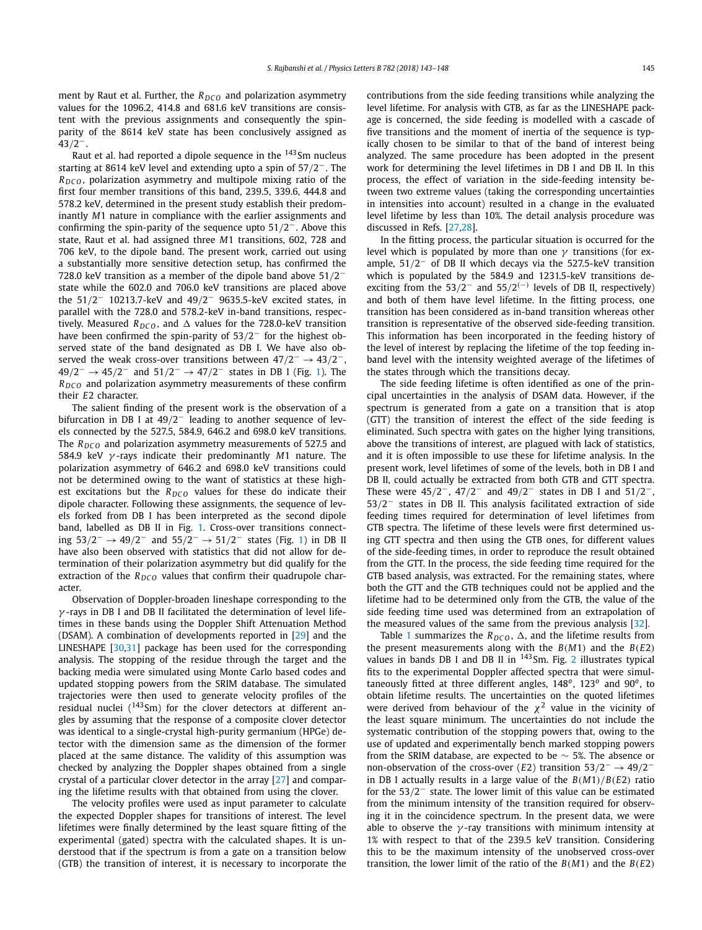ment by Raut et al. Further, the  $R_{DCO}$  and polarization asymmetry values for the 1096.2, 414.8 and 681.6 keV transitions are consistent with the previous assignments and consequently the spinparity of the 8614 keV state has been conclusively assigned as 43*/*2−.

Raut et al. had reported a dipole sequence in the <sup>143</sup>Sm nucleus starting at 8614 keV level and extending upto a spin of 57*/*2−. The  $R_{DCO}$ , polarization asymmetry and multipole mixing ratio of the first four member transitions of this band, 239.5, 339.6, 444.8 and 578.2 keV, determined in the present study establish their predominantly *M*1 nature in compliance with the earlier assignments and confirming the spin-parity of the sequence upto 51*/*2−. Above this state, Raut et al. had assigned three *M*1 transitions, 602, 728 and 706 keV, to the dipole band. The present work, carried out using a substantially more sensitive detection setup, has confirmed the 728.0 keV transition as a member of the dipole band above 51*/*2− state while the 602.0 and 706.0 keV transitions are placed above the 51*/*2− 10213.7-keV and 49*/*2− 9635.5-keV excited states, in parallel with the 728.0 and 578.2-keV in-band transitions, respectively. Measured  $R_{DCO}$ , and  $\Delta$  values for the 728.0-keV transition have been confirmed the spin-parity of 53*/*2− for the highest observed state of the band designated as DB I. We have also observed the weak cross-over transitions between 47*/*2<sup>−</sup> → 43*/*2−, 49*/*2<sup>−</sup> → 45*/*2<sup>−</sup> and 51*/*2<sup>−</sup> → 47*/*2<sup>−</sup> states in DB I (Fig. [1\)](#page-1-0). The *RDCO* and polarization asymmetry measurements of these confirm their *E*2 character.

The salient finding of the present work is the observation of a bifurcation in DB I at 49*/*2− leading to another sequence of levels connected by the 527.5, 584.9, 646.2 and 698.0 keV transitions. The *R<sub>DCO</sub>* and polarization asymmetry measurements of 527.5 and 584.9 keV *γ* -rays indicate their predominantly *M*1 nature. The polarization asymmetry of 646.2 and 698.0 keV transitions could not be determined owing to the want of statistics at these highest excitations but the  $R_{DCO}$  values for these do indicate their dipole character. Following these assignments, the sequence of levels forked from DB I has been interpreted as the second dipole band, labelled as DB II in Fig. [1.](#page-1-0) Cross-over transitions connecting 53*/*2<sup>−</sup> → 49*/*2<sup>−</sup> and 55*/*2<sup>−</sup> → 51*/*2<sup>−</sup> states (Fig. [1\)](#page-1-0) in DB II have also been observed with statistics that did not allow for determination of their polarization asymmetry but did qualify for the extraction of the  $R_{DCO}$  values that confirm their quadrupole character.

Observation of Doppler-broaden lineshape corresponding to the *γ* -rays in DB I and DB II facilitated the determination of level lifetimes in these bands using the Doppler Shift Attenuation Method (DSAM). A combination of developments reported in [\[29\]](#page-5-0) and the LINESHAPE [\[30,31\]](#page-5-0) package has been used for the corresponding analysis. The stopping of the residue through the target and the backing media were simulated using Monte Carlo based codes and updated stopping powers from the SRIM database. The simulated trajectories were then used to generate velocity profiles of the residual nuclei ( $^{143}$ Sm) for the clover detectors at different angles by assuming that the response of a composite clover detector was identical to a single-crystal high-purity germanium (HPGe) detector with the dimension same as the dimension of the former placed at the same distance. The validity of this assumption was checked by analyzing the Doppler shapes obtained from a single crystal of a particular clover detector in the array [\[27\]](#page-5-0) and comparing the lifetime results with that obtained from using the clover.

The velocity profiles were used as input parameter to calculate the expected Doppler shapes for transitions of interest. The level lifetimes were finally determined by the least square fitting of the experimental (gated) spectra with the calculated shapes. It is understood that if the spectrum is from a gate on a transition below (GTB) the transition of interest, it is necessary to incorporate the contributions from the side feeding transitions while analyzing the level lifetime. For analysis with GTB, as far as the LINESHAPE package is concerned, the side feeding is modelled with a cascade of five transitions and the moment of inertia of the sequence is typically chosen to be similar to that of the band of interest being analyzed. The same procedure has been adopted in the present work for determining the level lifetimes in DB I and DB II. In this process, the effect of variation in the side-feeding intensity between two extreme values (taking the corresponding uncertainties in intensities into account) resulted in a change in the evaluated level lifetime by less than 10%. The detail analysis procedure was discussed in Refs. [\[27,28\]](#page-5-0).

In the fitting process, the particular situation is occurred for the level which is populated by more than one *γ* transitions (for example, 51*/*2− of DB II which decays via the 527.5-keV transition which is populated by the 584.9 and 1231.5-keV transitions deexciting from the 53*/*2<sup>−</sup> and 55*/*2*(*−*)* levels of DB II, respectively) and both of them have level lifetime. In the fitting process, one transition has been considered as in-band transition whereas other transition is representative of the observed side-feeding transition. This information has been incorporated in the feeding history of the level of interest by replacing the lifetime of the top feeding inband level with the intensity weighted average of the lifetimes of the states through which the transitions decay.

The side feeding lifetime is often identified as one of the principal uncertainties in the analysis of DSAM data. However, if the spectrum is generated from a gate on a transition that is atop (GTT) the transition of interest the effect of the side feeding is eliminated. Such spectra with gates on the higher lying transitions, above the transitions of interest, are plagued with lack of statistics, and it is often impossible to use these for lifetime analysis. In the present work, level lifetimes of some of the levels, both in DB I and DB II, could actually be extracted from both GTB and GTT spectra. These were 45*/*2−, 47*/*2− and 49*/*2− states in DB I and 51*/*2−, 53*/*2− states in DB II. This analysis facilitated extraction of side feeding times required for determination of level lifetimes from GTB spectra. The lifetime of these levels were first determined using GTT spectra and then using the GTB ones, for different values of the side-feeding times, in order to reproduce the result obtained from the GTT. In the process, the side feeding time required for the GTB based analysis, was extracted. For the remaining states, where both the GTT and the GTB techniques could not be applied and the lifetime had to be determined only from the GTB, the value of the side feeding time used was determined from an extrapolation of the measured values of the same from the previous analysis [\[32\]](#page-5-0).

Table [1](#page-3-0) summarizes the  $R_{DCO}$ ,  $\Delta$ , and the lifetime results from the present measurements along with the *B(M*1*)* and the *B(E*2*)* values in bands DB I and DB II in  $143$  Sm. Fig. [2](#page-3-0) illustrates typical fits to the experimental Doppler affected spectra that were simultaneously fitted at three different angles, 148*<sup>o</sup>* , 123*<sup>o</sup>* and 90*o*, to obtain lifetime results. The uncertainties on the quoted lifetimes were derived from behaviour of the  $\chi^2$  value in the vicinity of the least square minimum. The uncertainties do not include the systematic contribution of the stopping powers that, owing to the use of updated and experimentally bench marked stopping powers from the SRIM database, are expected to be  $\sim$  5%. The absence or non-observation of the cross-over (*E*2) transition 53*/*2<sup>−</sup> → 49*/*2<sup>−</sup> in DB I actually results in a large value of the *B(M*1*)/B(E*2*)* ratio for the 53*/*2− state. The lower limit of this value can be estimated from the minimum intensity of the transition required for observing it in the coincidence spectrum. In the present data, we were able to observe the  $\gamma$ -ray transitions with minimum intensity at 1% with respect to that of the 239.5 keV transition. Considering this to be the maximum intensity of the unobserved cross-over transition, the lower limit of the ratio of the *B(M*1*)* and the *B(E*2*)*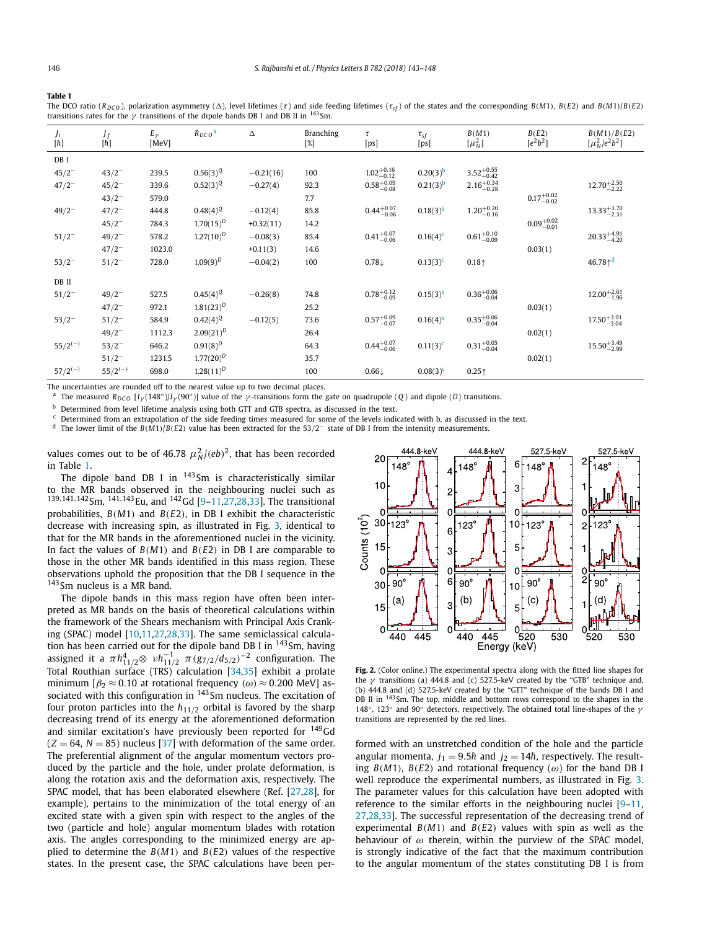### <span id="page-3-0"></span>**Table 1**

The DCO ratio ( $R_{DCO}$ ), polarization asymmetry ( $\Delta$ ), level lifetimes ( $\tau$ ) and side feeding lifetimes ( $\tau_{sf}$ ) of the states and the corresponding  $B(M1)$ ,  $B(E2)$  and  $B(M1)/B(E2)$ transitions rates for the  $\gamma$  transitions of the dipole bands DB I and DB II in <sup>143</sup>Sm.

| $J_i$<br>$[\hbar] % \centering \includegraphics[width=0.9\columnwidth]{figures/fig_10.pdf} \caption{The figure shows the number of parameters in the left and right.} \label{fig:time} %$ | $J_f$<br>$[h] \centering% \includegraphics[width=1.0\textwidth]{Figures/PD1.png} \caption{The 3D (black) model for the 3D (black) model. The 3D (black) model is shown in Fig.~\ref{fig:1}, (a) and (b) and (c) are shown in Fig.~\ref{fig:1}, (b) and (c) are shown in Fig.~\ref{fig:1}, (c) and (d) are shown in Fig.~\ref{fig:1}, (d) and (e) are shown in Fig.~\ref{fig:1}, (e) and (f) are shown in Fig.~\ref{fig:1}, (f) and (g) are shown in Fig.~\ref{fig:1}, (g) and (h) are shown in Fig.~\ref{fig:1}, (h) and (i) are$ | $E_{\nu}$<br>[MeV] | $R_{DCO}$ <sup>a</sup> | Δ           | <b>Branching</b><br>[%] | τ<br>[ps]              | $\tau_{sf}$<br>[ps]    | B(M1)<br>$[\mu_N^2]$   | B(E2)<br>$[e^2b^2]$              | B(M1)/B(E2)<br>$[\mu_N^2/e^2b^2]$ |
|-------------------------------------------------------------------------------------------------------------------------------------------------------------------------------------------|-----------------------------------------------------------------------------------------------------------------------------------------------------------------------------------------------------------------------------------------------------------------------------------------------------------------------------------------------------------------------------------------------------------------------------------------------------------------------------------------------------------------------------------|--------------------|------------------------|-------------|-------------------------|------------------------|------------------------|------------------------|----------------------------------|-----------------------------------|
| DB I                                                                                                                                                                                      |                                                                                                                                                                                                                                                                                                                                                                                                                                                                                                                                   |                    |                        |             |                         |                        |                        |                        |                                  |                                   |
| $45/2^-$                                                                                                                                                                                  | $43/2^-$                                                                                                                                                                                                                                                                                                                                                                                                                                                                                                                          | 239.5              | $0.56(3)^{Q}$          | $-0.21(16)$ | 100                     | $1.02^{+0.16}_{-0.12}$ | $0.20(3)$ <sup>b</sup> | $3.52^{+0.55}_{-0.42}$ |                                  |                                   |
| $47/2^-$                                                                                                                                                                                  | $45/2^{-}$                                                                                                                                                                                                                                                                                                                                                                                                                                                                                                                        | 339.6              | $0.52(3)^{Q}$          | $-0.27(4)$  | 92.3                    | $0.58^{+0.09}_{-0.08}$ | $0.21(3)^{b}$          | $2.16^{+0.34}_{-0.28}$ |                                  | $12.70^{+2.50}_{-2.22}$           |
|                                                                                                                                                                                           | $43/2^{-}$                                                                                                                                                                                                                                                                                                                                                                                                                                                                                                                        | 579.0              |                        |             | 7.7                     |                        |                        |                        | $0.17\substack{+0.02 \\ -0.02}$  |                                   |
| $49/2^-$                                                                                                                                                                                  | $47/2^-$                                                                                                                                                                                                                                                                                                                                                                                                                                                                                                                          | 444.8              | $0.48(4)^{Q}$          | $-0.12(4)$  | 85.8                    | $0.44^{+0.07}_{-0.06}$ | $0.18(3)$ <sup>b</sup> | $1.20^{+0.20}_{-0.16}$ |                                  | $13.33^{+3.70}_{-2.31}$           |
|                                                                                                                                                                                           | $45/2^{-}$                                                                                                                                                                                                                                                                                                                                                                                                                                                                                                                        | 784.3              | $1.70(15)^{D}$         | $+0.32(11)$ | 14.2                    |                        |                        |                        | $0.09 \substack{+0.02 \\ -0.01}$ |                                   |
| $51/2^-$                                                                                                                                                                                  | $49/2^-$                                                                                                                                                                                                                                                                                                                                                                                                                                                                                                                          | 578.2              | $1.27(10)^{D}$         | $-0.08(3)$  | 85.4                    | $0.41_{-0.06}^{+0.07}$ | $0.16(4)^{c}$          | $0.61^{+0.10}_{-0.09}$ |                                  | $20.33_{-4.20}^{+4.91}$           |
|                                                                                                                                                                                           | $47/2^-$                                                                                                                                                                                                                                                                                                                                                                                                                                                                                                                          | 1023.0             |                        | $+0.11(3)$  | 14.6                    |                        |                        |                        | 0.03(1)                          |                                   |
| $53/2^-$                                                                                                                                                                                  | $51/2^-$                                                                                                                                                                                                                                                                                                                                                                                                                                                                                                                          | 728.0              | $1.09(9)^{D}$          | $-0.04(2)$  | 100                     | $0.78\downarrow$       | $0.13(3)^{c}$          | $0.18+$                |                                  | 46.78 <sup>d</sup>                |
| DB II                                                                                                                                                                                     |                                                                                                                                                                                                                                                                                                                                                                                                                                                                                                                                   |                    |                        |             |                         |                        |                        |                        |                                  |                                   |
| $51/2^-$                                                                                                                                                                                  | $49/2^-$                                                                                                                                                                                                                                                                                                                                                                                                                                                                                                                          | 527.5              | $0.45(4)^{Q}$          | $-0.26(8)$  | 74.8                    | $0.78^{+0.12}_{-0.09}$ | $0.15(3)^{b}$          | $0.36^{+0.06}_{-0.04}$ |                                  | $12.00^{+2.61}_{-1.96}$           |
|                                                                                                                                                                                           | $47/2^-$                                                                                                                                                                                                                                                                                                                                                                                                                                                                                                                          | 972.1              | $1.81(23)^{D}$         |             | 25.2                    |                        |                        |                        | 0.03(1)                          |                                   |
| $53/2^-$                                                                                                                                                                                  | $51/2^-$                                                                                                                                                                                                                                                                                                                                                                                                                                                                                                                          | 584.9              | $0.42(4)^{Q}$          | $-0.12(5)$  | 73.6                    | $0.57^{+0.09}_{-0.07}$ | $0.16(4)$ <sup>b</sup> | $0.35^{+0.06}_{-0.04}$ |                                  | $17.50^{+3.91}_{-3.04}$           |
|                                                                                                                                                                                           | $49/2^-$                                                                                                                                                                                                                                                                                                                                                                                                                                                                                                                          | 1112.3             | $2.09(21)^{D}$         |             | 26.4                    |                        |                        |                        | 0.02(1)                          |                                   |
| $55/2^{(-)}$                                                                                                                                                                              | $53/2^-$                                                                                                                                                                                                                                                                                                                                                                                                                                                                                                                          | 646.2              | $0.91(8)^{D}$          |             | 64.3                    | $0.44^{+0.07}_{-0.06}$ | $0.11(3)^{c}$          | $0.31^{+0.05}_{-0.04}$ |                                  | $15.50^{+3.49}_{-2.99}$           |
|                                                                                                                                                                                           | $51/2^-$                                                                                                                                                                                                                                                                                                                                                                                                                                                                                                                          | 1231.5             | $1.77(20)^D$           |             | 35.7                    |                        |                        |                        | 0.02(1)                          |                                   |
| $57/2^{(-)}$                                                                                                                                                                              | $55/2^{(-)}$                                                                                                                                                                                                                                                                                                                                                                                                                                                                                                                      | 698.0              | $1.28(11)^{D}$         |             | 100                     | $0.66\downarrow$       | $0.08(3)^{c}$          | 0.25 <sub>0</sub>      |                                  |                                   |

The uncertainties are rounded off to the nearest value up to two decimal places.

<sup>a</sup> The measured  $R_{DCO}$  [*I<sub>γ</sub>* (148°)/*I<sub>γ</sub>* (90°)] value of the *γ* -transitions form the gate on quadrupole (*Q*) and dipole (*D*) transitions.

 $\overline{b}$  Determined from level lifetime analysis using both GTT and GTB spectra, as discussed in the text.

Determined from an extrapolation of the side feeding times measured for some of the levels indicated with b, as discussed in the text.

<sup>d</sup> The lower limit of the *B(M*1*)*/*B(E*2*)* value has been extracted for the 53*/*2<sup>−</sup> state of DB I from the intensity measurements.

values comes out to be of 46.78  $\mu^2_N/(eb)^2$ , that has been recorded in Table 1.

The dipole band DB I in  $^{143}$ Sm is characteristically similar to the MR bands observed in the neighbouring nuclei such as <sup>139</sup>*,*141*,*142Sm, <sup>141</sup>*,*143Eu, and 142Gd [\[9–11,27,28,33\]](#page-5-0). The transitional probabilities, *B(M*1*)* and *B(E*2*)*, in DB I exhibit the characteristic decrease with increasing spin, as illustrated in Fig. [3,](#page-4-0) identical to that for the MR bands in the aforementioned nuclei in the vicinity. In fact the values of *B(M*1*)* and *B(E*2*)* in DB I are comparable to those in the other MR bands identified in this mass region. These observations uphold the proposition that the DB I sequence in the 143Sm nucleus is a MR band.

The dipole bands in this mass region have often been interpreted as MR bands on the basis of theoretical calculations within the framework of the Shears mechanism with Principal Axis Cranking (SPAC) model [\[10,11,27,28,33\]](#page-5-0). The same semiclassical calculation has been carried out for the dipole band DB I in 143Sm, having  $\alpha$  assigned it a  $\pi h_{11/2}^4 \otimes \nu h_{11/2}^{-1} \pi (g_{7/2}/d_{5/2})^{-2}$  configuration. The Total Routhian surface (TRS) calculation [\[34,35\]](#page-5-0) exhibit a prolate minimum [ $\beta_2 \approx 0.10$  at rotational frequency ( $\omega$ )  $\approx 0.200$  MeV] associated with this configuration in <sup>143</sup>Sm nucleus. The excitation of four proton particles into the *h*11*/*<sup>2</sup> orbital is favored by the sharp decreasing trend of its energy at the aforementioned deformation and similar excitation's have previously been reported for <sup>149</sup>Gd  $(Z = 64, N = 85)$  nucleus [\[37\]](#page-5-0) with deformation of the same order. The preferential alignment of the angular momentum vectors produced by the particle and the hole, under prolate deformation, is along the rotation axis and the deformation axis, respectively. The SPAC model, that has been elaborated elsewhere (Ref. [\[27,28\]](#page-5-0), for example), pertains to the minimization of the total energy of an excited state with a given spin with respect to the angles of the two (particle and hole) angular momentum blades with rotation axis. The angles corresponding to the minimized energy are applied to determine the *B(M*1*)* and *B(E*2*)* values of the respective states. In the present case, the SPAC calculations have been per-



**Fig. 2.** (Color online.) The experimental spectra along with the fitted line shapes for the *γ* transitions (a) 444.8 and (c) 527.5-keV created by the "GTB" technique and, (b) 444.8 and (d) 527.5-keV created by the "GTT" technique of the bands DB I and DB II in <sup>143</sup>Sm. The top, middle and bottom rows correspond to the shapes in the 148◦, 123◦ and 90◦ detectors, respectively. The obtained total line-shapes of the *γ* transitions are represented by the red lines.

formed with an unstretched condition of the hole and the particle angular momenta,  $j_1 = 9.5\hbar$  and  $j_2 = 14\hbar$ , respectively. The resulting  $B(M1)$ ,  $B(E2)$  and rotational frequency ( $\omega$ ) for the band DB I well reproduce the experimental numbers, as illustrated in Fig. [3.](#page-4-0) The parameter values for this calculation have been adopted with reference to the similar efforts in the neighbouring nuclei [\[9–11,](#page-5-0) [27,28,33\]](#page-5-0). The successful representation of the decreasing trend of experimental *B(M*1*)* and *B(E*2*)* values with spin as well as the behaviour of *ω* therein, within the purview of the SPAC model, is strongly indicative of the fact that the maximum contribution to the angular momentum of the states constituting DB I is from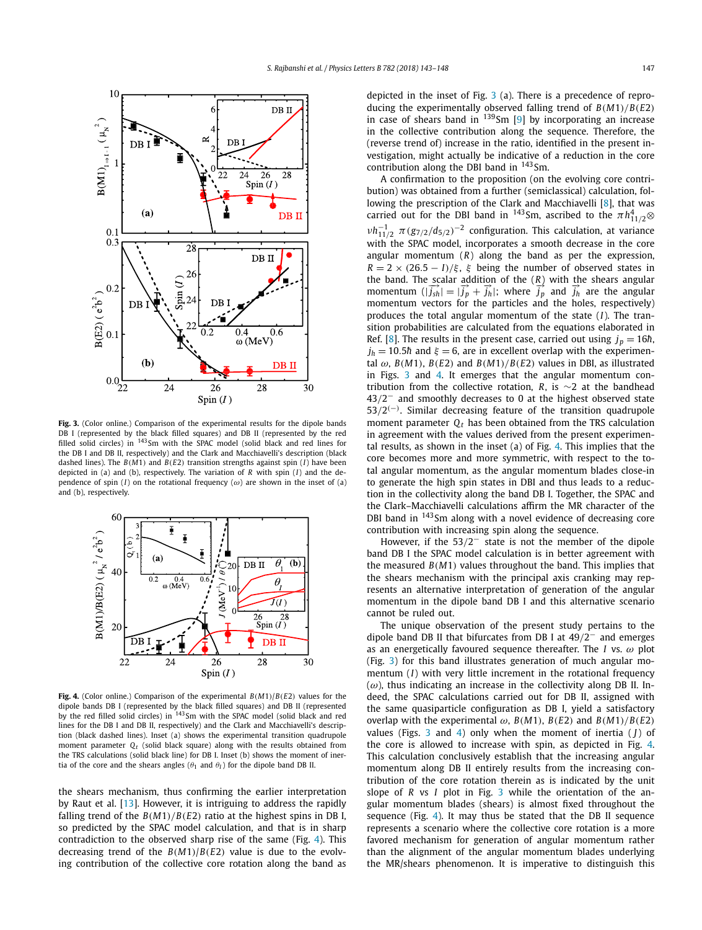<span id="page-4-0"></span>

**Fig. 3.** (Color online.) Comparison of the experimental results for the dipole bands DB I (represented by the black filled squares) and DB II (represented by the red filled solid circles) in <sup>143</sup>Sm with the SPAC model (solid black and red lines for the DB I and DB II, respectively) and the Clark and Macchiavelli's description (black dashed lines). The *B(M*1*)* and *B(E*2*)* transition strengths against spin (*I*) have been depicted in (a) and (b), respectively. The variation of *R* with spin (*I*) and the dependence of spin  $(I)$  on the rotational frequency  $(\omega)$  are shown in the inset of  $(a)$ and (b), respectively.



**Fig. 4.** (Color online.) Comparison of the experimental *B(M*1*)*/*B(E*2*)* values for the dipole bands DB I (represented by the black filled squares) and DB II (represented by the red filled solid circles) in 143Sm with the SPAC model (solid black and red lines for the DB I and DB II, respectively) and the Clark and Macchiavelli's description (black dashed lines). Inset (a) shows the experimental transition quadrupole moment parameter *Qt* (solid black square) along with the results obtained from the TRS calculations (solid black line) for DB I. Inset (b) shows the moment of inertia of the core and the shears angles ( $\theta_1$  and  $\theta_I$ ) for the dipole band DB II.

the shears mechanism, thus confirming the earlier interpretation by Raut et al. [\[13\]](#page-5-0). However, it is intriguing to address the rapidly falling trend of the  $B(M1)/B(E2)$  ratio at the highest spins in DB I, so predicted by the SPAC model calculation, and that is in sharp contradiction to the observed sharp rise of the same (Fig. 4). This decreasing trend of the  $B(M1)/B(E2)$  value is due to the evolving contribution of the collective core rotation along the band as depicted in the inset of Fig. 3 (a). There is a precedence of reproducing the experimentally observed falling trend of *B(M*1*)/B(E*2*)* in case of shears band in  $139$ Sm [\[9\]](#page-5-0) by incorporating an increase in the collective contribution along the sequence. Therefore, the (reverse trend of) increase in the ratio, identified in the present investigation, might actually be indicative of a reduction in the core contribution along the DBI band in <sup>143</sup>Sm.

A confirmation to the proposition (on the evolving core contribution) was obtained from a further (semiclassical) calculation, following the prescription of the Clark and Macchiavelli [\[8\]](#page-5-0), that was carried out for the DBI band in  $^{143}$ Sm, ascribed to the  $\pi h_{11/2}^4$ ⊗  $v h_{11/2}^{-1}$   $\pi (g_{7/2}/d_{5/2})^{-2}$  configuration. This calculation, at variance with the SPAC model, incorporates a smooth decrease in the core angular momentum (*R*) along the band as per the expression,  $R = 2 \times (26.5 - I)/\xi$ ,  $\xi$  being the number of observed states in the band. The scalar addition of the (*R*) with the shears angular momentum  $(|\overrightarrow{j}_{\textit{sh}}| = |\overrightarrow{j}_p + \overrightarrow{j}_h|$ ; where  $|\overrightarrow{j}_p|$  and  $|\overrightarrow{j}_h|$  are the angular momentum vectors for the particles and the holes, respectively) produces the total angular momentum of the state (*I*). The transition probabilities are calculated from the equations elaborated in Ref. [\[8\]](#page-5-0). The results in the present case, carried out using  $j_p = 16\hbar$ ,  $j_h = 10.5\hbar$  and  $\xi = 6$ , are in excellent overlap with the experimental  $\omega$ ,  $B(M1)$ ,  $B(E2)$  and  $B(M1)/B(E2)$  values in DBI, as illustrated in Figs. 3 and 4. It emerges that the angular momentum contribution from the collective rotation, *R*, is ∼2 at the bandhead 43*/*2− and smoothly decreases to 0 at the highest observed state 53*/*2*(*−*)* . Similar decreasing feature of the transition quadrupole moment parameter  $Q_t$  has been obtained from the TRS calculation in agreement with the values derived from the present experimental results, as shown in the inset (a) of Fig. 4. This implies that the core becomes more and more symmetric, with respect to the total angular momentum, as the angular momentum blades close-in to generate the high spin states in DBI and thus leads to a reduction in the collectivity along the band DB I. Together, the SPAC and the Clark–Macchiavelli calculations affirm the MR character of the DBI band in <sup>143</sup>Sm along with a novel evidence of decreasing core contribution with increasing spin along the sequence.

However, if the 53*/*2− state is not the member of the dipole band DB I the SPAC model calculation is in better agreement with the measured  $B(M1)$  values throughout the band. This implies that the shears mechanism with the principal axis cranking may represents an alternative interpretation of generation of the angular momentum in the dipole band DB I and this alternative scenario cannot be ruled out.

The unique observation of the present study pertains to the dipole band DB II that bifurcates from DB I at 49*/*2− and emerges as an energetically favoured sequence thereafter. The *I* vs. *ω* plot (Fig. 3) for this band illustrates generation of much angular momentum (*I*) with very little increment in the rotational frequency  $(\omega)$ , thus indicating an increase in the collectivity along DB II. Indeed, the SPAC calculations carried out for DB II, assigned with the same quasiparticle configuration as DB I, yield a satisfactory *overlap with the experimental*  $ω$ *,*  $B(M1)$ *,*  $B(E2)$  *and*  $B(M1)/B(E2)$ values (Figs. 3 and 4) only when the moment of inertia ( *J*) of the core is allowed to increase with spin, as depicted in Fig. 4. This calculation conclusively establish that the increasing angular momentum along DB II entirely results from the increasing contribution of the core rotation therein as is indicated by the unit slope of *R* vs *I* plot in Fig. 3 while the orientation of the angular momentum blades (shears) is almost fixed throughout the sequence (Fig. 4). It may thus be stated that the DB II sequence represents a scenario where the collective core rotation is a more favored mechanism for generation of angular momentum rather than the alignment of the angular momentum blades underlying the MR/shears phenomenon. It is imperative to distinguish this